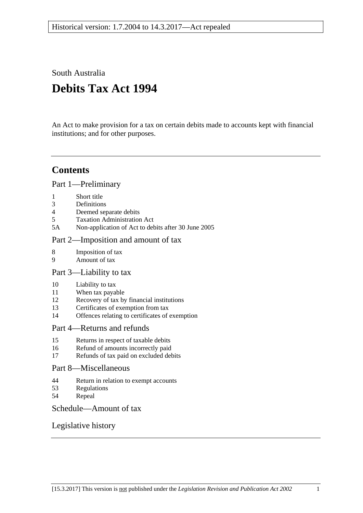South Australia

# **Debits Tax Act 1994**

An Act to make provision for a tax on certain debits made to accounts kept with financial institutions; and for other purposes.

# **Contents**

[Part 1—Preliminary](#page-1-0)

- 1 [Short title](#page-1-1)
- 3 [Definitions](#page-1-2)
- 4 [Deemed separate debits](#page-6-0)
- 5 [Taxation Administration Act](#page-6-1)
- 5A [Non-application of Act to debits after 30 June 2005](#page-6-2)

#### [Part 2—Imposition and amount of tax](#page-6-3)

- 8 [Imposition of tax](#page-6-4)
- 9 [Amount of tax](#page-7-0)

#### [Part 3—Liability to tax](#page-7-1)

- 10 [Liability](#page-7-2) to tax
- 11 [When tax payable](#page-8-0)
- 12 [Recovery of tax by financial institutions](#page-8-1)
- 13 [Certificates of exemption from tax](#page-8-2)
- 14 [Offences relating to certificates of exemption](#page-10-0)

#### [Part 4—Returns and refunds](#page-10-1)

- 15 [Returns in respect of taxable debits](#page-10-2)
- 16 [Refund of amounts incorrectly paid](#page-11-0)
- 17 [Refunds of tax paid on excluded debits](#page-11-1)

#### [Part 8—Miscellaneous](#page-12-0)

- 44 [Return in relation to exempt accounts](#page-12-1)
- 53 [Regulations](#page-12-2)
- 54 [Repeal](#page-12-3)

#### [Schedule—Amount of tax](#page-12-4)

#### [Legislative history](#page-13-0)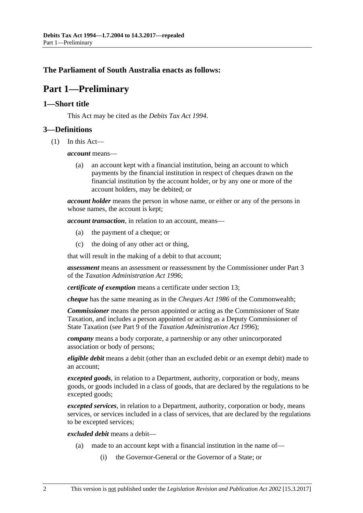#### <span id="page-1-0"></span>**The Parliament of South Australia enacts as follows:**

# **Part 1—Preliminary**

#### <span id="page-1-1"></span>**1—Short title**

This Act may be cited as the *Debits Tax Act 1994*.

#### <span id="page-1-3"></span><span id="page-1-2"></span>**3—Definitions**

(1) In this Act—

*account* means—

(a) an account kept with a financial institution, being an account to which payments by the financial institution in respect of cheques drawn on the financial institution by the account holder, or by any one or more of the account holders, may be debited; or

*account holder* means the person in whose name, or either or any of the persons in whose names, the account is kept;

*account transaction*, in relation to an account, means—

- (a) the payment of a cheque; or
- (c) the doing of any other act or thing,

that will result in the making of a debit to that account;

*assessment* means an assessment or reassessment by the Commissioner under Part 3 of the *[Taxation Administration Act](http://www.legislation.sa.gov.au/index.aspx?action=legref&type=act&legtitle=Taxation%20Administration%20Act%201996) 1996*;

*certificate of exemption* means a certificate under [section](#page-8-2) 13;

*cheque* has the same meaning as in the *Cheques Act 1986* of the Commonwealth;

*Commissioner* means the person appointed or acting as the Commissioner of State Taxation, and includes a person appointed or acting as a Deputy Commissioner of State Taxation (see Part 9 of the *[Taxation Administration Act](http://www.legislation.sa.gov.au/index.aspx?action=legref&type=act&legtitle=Taxation%20Administration%20Act%201996) 1996*);

*company* means a body corporate, a partnership or any other unincorporated association or body of persons;

*eligible debit* means a debit (other than an excluded debit or an exempt debit) made to an account;

*excepted goods*, in relation to a Department, authority, corporation or body, means goods, or goods included in a class of goods, that are declared by the regulations to be excepted goods;

*excepted services*, in relation to a Department, authority, corporation or body, means services, or services included in a class of services, that are declared by the regulations to be excepted services;

*excluded debit* means a debit—

- (a) made to an account kept with a financial institution in the name of—
	- (i) the Governor-General or the Governor of a State; or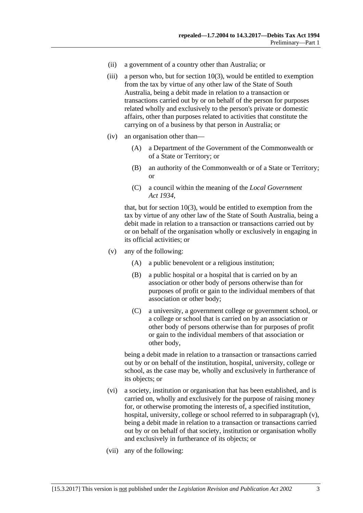- (ii) a government of a country other than Australia; or
- (iii) a person who, but for [section](#page-8-3)  $10(3)$ , would be entitled to exemption from the tax by virtue of any other law of the State of South Australia, being a debit made in relation to a transaction or transactions carried out by or on behalf of the person for purposes related wholly and exclusively to the person's private or domestic affairs, other than purposes related to activities that constitute the carrying on of a business by that person in Australia; or
- (iv) an organisation other than—
	- (A) a Department of the Government of the Commonwealth or of a State or Territory; or
	- (B) an authority of the Commonwealth or of a State or Territory; or
	- (C) a council within the meaning of the *[Local Government](http://www.legislation.sa.gov.au/index.aspx?action=legref&type=act&legtitle=Local%20Government%20Act%201934)  Act [1934](http://www.legislation.sa.gov.au/index.aspx?action=legref&type=act&legtitle=Local%20Government%20Act%201934)*,

that, but for [section](#page-8-3) 10(3), would be entitled to exemption from the tax by virtue of any other law of the State of South Australia, being a debit made in relation to a transaction or transactions carried out by or on behalf of the organisation wholly or exclusively in engaging in its official activities; or

- <span id="page-2-0"></span>(v) any of the following:
	- (A) a public benevolent or a religious institution;
	- (B) a public hospital or a hospital that is carried on by an association or other body of persons otherwise than for purposes of profit or gain to the individual members of that association or other body;
	- (C) a university, a government college or government school, or a college or school that is carried on by an association or other body of persons otherwise than for purposes of profit or gain to the individual members of that association or other body,

being a debit made in relation to a transaction or transactions carried out by or on behalf of the institution, hospital, university, college or school, as the case may be, wholly and exclusively in furtherance of its objects; or

- (vi) a society, institution or organisation that has been established, and is carried on, wholly and exclusively for the purpose of raising money for, or otherwise promoting the interests of, a specified institution, hospital, university, college or school referred to in [subparagraph](#page-2-0) (v), being a debit made in relation to a transaction or transactions carried out by or on behalf of that society, institution or organisation wholly and exclusively in furtherance of its objects; or
- <span id="page-2-1"></span>(vii) any of the following: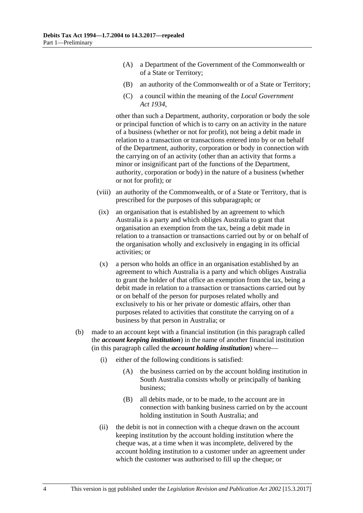- (A) a Department of the Government of the Commonwealth or of a State or Territory;
- (B) an authority of the Commonwealth or of a State or Territory;
- (C) a council within the meaning of the *[Local Government](http://www.legislation.sa.gov.au/index.aspx?action=legref&type=act&legtitle=Local%20Government%20Act%201934)  Act [1934](http://www.legislation.sa.gov.au/index.aspx?action=legref&type=act&legtitle=Local%20Government%20Act%201934)*,

other than such a Department, authority, corporation or body the sole or principal function of which is to carry on an activity in the nature of a business (whether or not for profit), not being a debit made in relation to a transaction or transactions entered into by or on behalf of the Department, authority, corporation or body in connection with the carrying on of an activity (other than an activity that forms a minor or insignificant part of the functions of the Department, authority, corporation or body) in the nature of a business (whether or not for profit); or

- (viii) an authority of the Commonwealth, or of a State or Territory, that is prescribed for the purposes of this subparagraph; or
- (ix) an organisation that is established by an agreement to which Australia is a party and which obliges Australia to grant that organisation an exemption from the tax, being a debit made in relation to a transaction or transactions carried out by or on behalf of the organisation wholly and exclusively in engaging in its official activities; or
- (x) a person who holds an office in an organisation established by an agreement to which Australia is a party and which obliges Australia to grant the holder of that office an exemption from the tax, being a debit made in relation to a transaction or transactions carried out by or on behalf of the person for purposes related wholly and exclusively to his or her private or domestic affairs, other than purposes related to activities that constitute the carrying on of a business by that person in Australia; or
- (b) made to an account kept with a financial institution (in this paragraph called the *account keeping institution*) in the name of another financial institution (in this paragraph called the *account holding institution*) where—
	- (i) either of the following conditions is satisfied:
		- (A) the business carried on by the account holding institution in South Australia consists wholly or principally of banking business;
		- (B) all debits made, or to be made, to the account are in connection with banking business carried on by the account holding institution in South Australia; and
	- (ii) the debit is not in connection with a cheque drawn on the account keeping institution by the account holding institution where the cheque was, at a time when it was incomplete, delivered by the account holding institution to a customer under an agreement under which the customer was authorised to fill up the cheque; or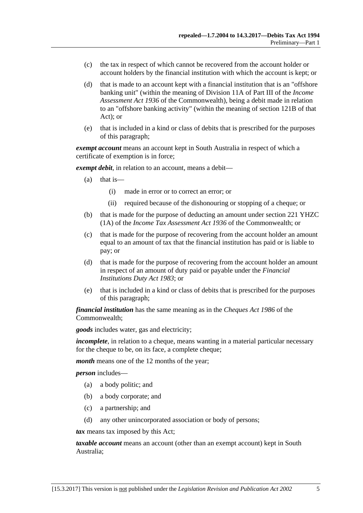- (c) the tax in respect of which cannot be recovered from the account holder or account holders by the financial institution with which the account is kept; or
- (d) that is made to an account kept with a financial institution that is an "offshore banking unit" (within the meaning of Division 11A of Part III of the *Income Assessment Act 1936* of the Commonwealth), being a debit made in relation to an "offshore banking activity" (within the meaning of section 121B of that Act); or
- (e) that is included in a kind or class of debits that is prescribed for the purposes of this paragraph;

*exempt account* means an account kept in South Australia in respect of which a certificate of exemption is in force;

*exempt debit*, in relation to an account, means a debit—

- (a) that is—
	- (i) made in error or to correct an error; or
	- (ii) required because of the dishonouring or stopping of a cheque; or
- (b) that is made for the purpose of deducting an amount under section 221 YHZC (1A) of the *Income Tax Assessment Act 1936* of the Commonwealth; or
- (c) that is made for the purpose of recovering from the account holder an amount equal to an amount of tax that the financial institution has paid or is liable to pay; or
- (d) that is made for the purpose of recovering from the account holder an amount in respect of an amount of duty paid or payable under the *[Financial](http://www.legislation.sa.gov.au/index.aspx?action=legref&type=act&legtitle=Financial%20Institutions%20Duty%20Act%201983)  [Institutions Duty Act](http://www.legislation.sa.gov.au/index.aspx?action=legref&type=act&legtitle=Financial%20Institutions%20Duty%20Act%201983) 1983*; or
- (e) that is included in a kind or class of debits that is prescribed for the purposes of this paragraph;

*financial institution* has the same meaning as in the *Cheques Act 1986* of the Commonwealth;

*goods* includes water, gas and electricity;

*incomplete*, in relation to a cheque, means wanting in a material particular necessary for the cheque to be, on its face, a complete cheque;

*month* means one of the 12 months of the year;

*person* includes—

- (a) a body politic; and
- (b) a body corporate; and
- (c) a partnership; and
- (d) any other unincorporated association or body of persons;

*tax* means tax imposed by this Act;

*taxable account* means an account (other than an exempt account) kept in South Australia;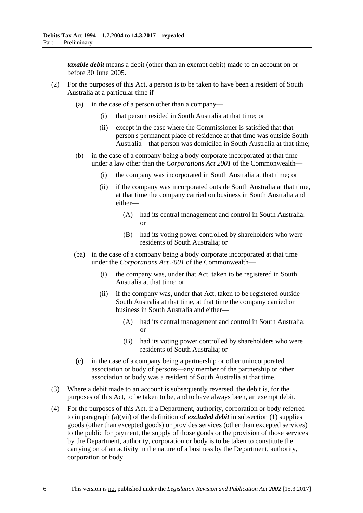*taxable debit* means a debit (other than an exempt debit) made to an account on or before 30 June 2005.

- (2) For the purposes of this Act, a person is to be taken to have been a resident of South Australia at a particular time if—
	- (a) in the case of a person other than a company—
		- (i) that person resided in South Australia at that time; or
		- (ii) except in the case where the Commissioner is satisfied that that person's permanent place of residence at that time was outside South Australia—that person was domiciled in South Australia at that time;
	- (b) in the case of a company being a body corporate incorporated at that time under a law other than the *Corporations Act 2001* of the Commonwealth—
		- (i) the company was incorporated in South Australia at that time; or
		- (ii) if the company was incorporated outside South Australia at that time, at that time the company carried on business in South Australia and either—
			- (A) had its central management and control in South Australia; or
			- (B) had its voting power controlled by shareholders who were residents of South Australia; or
	- (ba) in the case of a company being a body corporate incorporated at that time under the *Corporations Act 2001* of the Commonwealth—
		- (i) the company was, under that Act, taken to be registered in South Australia at that time; or
		- (ii) if the company was, under that Act, taken to be registered outside South Australia at that time, at that time the company carried on business in South Australia and either—
			- (A) had its central management and control in South Australia; or
			- (B) had its voting power controlled by shareholders who were residents of South Australia; or
	- (c) in the case of a company being a partnership or other unincorporated association or body of persons—any member of the partnership or other association or body was a resident of South Australia at that time.
- (3) Where a debit made to an account is subsequently reversed, the debit is, for the purposes of this Act, to be taken to be, and to have always been, an exempt debit.
- (4) For the purposes of this Act, if a Department, authority, corporation or body referred to in [paragraph](#page-2-1) (a)(vii) of the definition of *excluded debit* in [subsection](#page-1-3) (1) supplies goods (other than excepted goods) or provides services (other than excepted services) to the public for payment, the supply of those goods or the provision of those services by the Department, authority, corporation or body is to be taken to constitute the carrying on of an activity in the nature of a business by the Department, authority, corporation or body.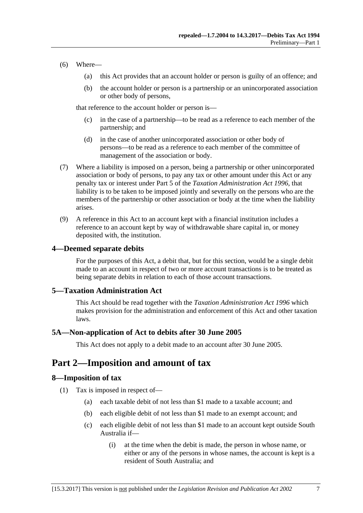- (6) Where—
	- (a) this Act provides that an account holder or person is guilty of an offence; and
	- (b) the account holder or person is a partnership or an unincorporated association or other body of persons,

that reference to the account holder or person is—

- (c) in the case of a partnership—to be read as a reference to each member of the partnership; and
- (d) in the case of another unincorporated association or other body of persons—to be read as a reference to each member of the committee of management of the association or body.
- (7) Where a liability is imposed on a person, being a partnership or other unincorporated association or body of persons, to pay any tax or other amount under this Act or any penalty tax or interest under Part 5 of the *[Taxation Administration Act](http://www.legislation.sa.gov.au/index.aspx?action=legref&type=act&legtitle=Taxation%20Administration%20Act%201996) 1996*, that liability is to be taken to be imposed jointly and severally on the persons who are the members of the partnership or other association or body at the time when the liability arises.
- (9) A reference in this Act to an account kept with a financial institution includes a reference to an account kept by way of withdrawable share capital in, or money deposited with, the institution.

#### <span id="page-6-0"></span>**4—Deemed separate debits**

For the purposes of this Act, a debit that, but for this section, would be a single debit made to an account in respect of two or more account transactions is to be treated as being separate debits in relation to each of those account transactions.

#### <span id="page-6-1"></span>**5—Taxation Administration Act**

This Act should be read together with the *[Taxation Administration Act](http://www.legislation.sa.gov.au/index.aspx?action=legref&type=act&legtitle=Taxation%20Administration%20Act%201996) 1996* which makes provision for the administration and enforcement of this Act and other taxation laws.

#### <span id="page-6-2"></span>**5A—Non-application of Act to debits after 30 June 2005**

This Act does not apply to a debit made to an account after 30 June 2005.

# <span id="page-6-3"></span>**Part 2—Imposition and amount of tax**

#### <span id="page-6-4"></span>**8—Imposition of tax**

- (1) Tax is imposed in respect of—
	- (a) each taxable debit of not less than \$1 made to a taxable account; and
	- (b) each eligible debit of not less than \$1 made to an exempt account; and
	- (c) each eligible debit of not less than \$1 made to an account kept outside South Australia if—
		- (i) at the time when the debit is made, the person in whose name, or either or any of the persons in whose names, the account is kept is a resident of South Australia; and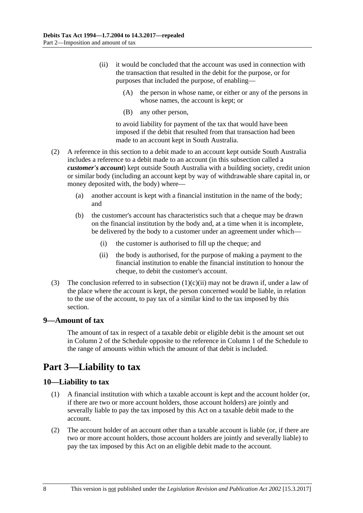- <span id="page-7-3"></span>(ii) it would be concluded that the account was used in connection with the transaction that resulted in the debit for the purpose, or for purposes that included the purpose, of enabling—
	- (A) the person in whose name, or either or any of the persons in whose names, the account is kept; or
	- (B) any other person,

to avoid liability for payment of the tax that would have been imposed if the debit that resulted from that transaction had been made to an account kept in South Australia.

- (2) A reference in this section to a debit made to an account kept outside South Australia includes a reference to a debit made to an account (in this subsection called a *customer's account*) kept outside South Australia with a building society, credit union or similar body (including an account kept by way of withdrawable share capital in, or money deposited with, the body) where—
	- (a) another account is kept with a financial institution in the name of the body; and
	- (b) the customer's account has characteristics such that a cheque may be drawn on the financial institution by the body and, at a time when it is incomplete, be delivered by the body to a customer under an agreement under which—
		- (i) the customer is authorised to fill up the cheque; and
		- (ii) the body is authorised, for the purpose of making a payment to the financial institution to enable the financial institution to honour the cheque, to debit the customer's account.
- (3) The conclusion referred to in [subsection](#page-7-3)  $(1)(c)(ii)$  may not be drawn if, under a law of the place where the account is kept, the person concerned would be liable, in relation to the use of the account, to pay tax of a similar kind to the tax imposed by this section.

#### <span id="page-7-0"></span>**9—Amount of tax**

The amount of tax in respect of a taxable debit or eligible debit is the amount set out in Column 2 of the [Schedule](#page-12-4) opposite to the reference in Column 1 of the [Schedule](#page-12-4) to the range of amounts within which the amount of that debit is included.

# <span id="page-7-1"></span>**Part 3—Liability to tax**

#### <span id="page-7-2"></span>**10—Liability to tax**

- (1) A financial institution with which a taxable account is kept and the account holder (or, if there are two or more account holders, those account holders) are jointly and severally liable to pay the tax imposed by this Act on a taxable debit made to the account.
- <span id="page-7-4"></span>(2) The account holder of an account other than a taxable account is liable (or, if there are two or more account holders, those account holders are jointly and severally liable) to pay the tax imposed by this Act on an eligible debit made to the account.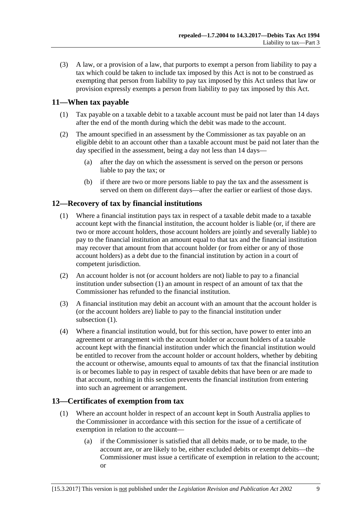<span id="page-8-3"></span>(3) A law, or a provision of a law, that purports to exempt a person from liability to pay a tax which could be taken to include tax imposed by this Act is not to be construed as exempting that person from liability to pay tax imposed by this Act unless that law or provision expressly exempts a person from liability to pay tax imposed by this Act.

#### <span id="page-8-0"></span>**11—When tax payable**

- (1) Tax payable on a taxable debit to a taxable account must be paid not later than 14 days after the end of the month during which the debit was made to the account.
- (2) The amount specified in an assessment by the Commissioner as tax payable on an eligible debit to an account other than a taxable account must be paid not later than the day specified in the assessment, being a day not less than 14 days—
	- (a) after the day on which the assessment is served on the person or persons liable to pay the tax; or
	- (b) if there are two or more persons liable to pay the tax and the assessment is served on them on different days—after the earlier or earliest of those days.

#### <span id="page-8-4"></span><span id="page-8-1"></span>**12—Recovery of tax by financial institutions**

- (1) Where a financial institution pays tax in respect of a taxable debit made to a taxable account kept with the financial institution, the account holder is liable (or, if there are two or more account holders, those account holders are jointly and severally liable) to pay to the financial institution an amount equal to that tax and the financial institution may recover that amount from that account holder (or from either or any of those account holders) as a debt due to the financial institution by action in a court of competent jurisdiction.
- (2) An account holder is not (or account holders are not) liable to pay to a financial institution under [subsection](#page-8-4) (1) an amount in respect of an amount of tax that the Commissioner has refunded to the financial institution.
- (3) A financial institution may debit an account with an amount that the account holder is (or the account holders are) liable to pay to the financial institution under [subsection](#page-8-4)  $(1)$ .
- (4) Where a financial institution would, but for this section, have power to enter into an agreement or arrangement with the account holder or account holders of a taxable account kept with the financial institution under which the financial institution would be entitled to recover from the account holder or account holders, whether by debiting the account or otherwise, amounts equal to amounts of tax that the financial institution is or becomes liable to pay in respect of taxable debits that have been or are made to that account, nothing in this section prevents the financial institution from entering into such an agreement or arrangement.

#### <span id="page-8-2"></span>**13—Certificates of exemption from tax**

- (1) Where an account holder in respect of an account kept in South Australia applies to the Commissioner in accordance with this section for the issue of a certificate of exemption in relation to the account—
	- (a) if the Commissioner is satisfied that all debits made, or to be made, to the account are, or are likely to be, either excluded debits or exempt debits—the Commissioner must issue a certificate of exemption in relation to the account; or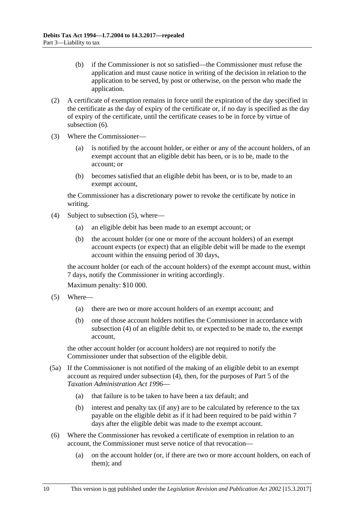- (b) if the Commissioner is not so satisfied—the Commissioner must refuse the application and must cause notice in writing of the decision in relation to the application to be served, by post or otherwise, on the person who made the application.
- (2) A certificate of exemption remains in force until the expiration of the day specified in the certificate as the day of expiry of the certificate or, if no day is specified as the day of expiry of the certificate, until the certificate ceases to be in force by virtue of [subsection](#page-9-0)  $(6)$ .
- (3) Where the Commissioner—
	- (a) is notified by the account holder, or either or any of the account holders, of an exempt account that an eligible debit has been, or is to be, made to the account; or
	- (b) becomes satisfied that an eligible debit has been, or is to be, made to an exempt account,

the Commissioner has a discretionary power to revoke the certificate by notice in writing.

- <span id="page-9-2"></span>(4) Subject to [subsection](#page-9-1) (5), where—
	- (a) an eligible debit has been made to an exempt account; or
	- (b) the account holder (or one or more of the account holders) of an exempt account expects (or expect) that an eligible debit will be made to the exempt account within the ensuing period of 30 days,

the account holder (or each of the account holders) of the exempt account must, within 7 days, notify the Commissioner in writing accordingly.

Maximum penalty: \$10 000.

- <span id="page-9-1"></span>(5) Where—
	- (a) there are two or more account holders of an exempt account; and
	- (b) one of those account holders notifies the Commissioner in accordance with [subsection](#page-9-2) (4) of an eligible debit to, or expected to be made to, the exempt account,

the other account holder (or account holders) are not required to notify the Commissioner under that subsection of the eligible debit.

- (5a) If the Commissioner is not notified of the making of an eligible debit to an exempt account as required under [subsection](#page-9-2) (4), then, for the purposes of Part 5 of the *[Taxation Administration Act](http://www.legislation.sa.gov.au/index.aspx?action=legref&type=act&legtitle=Taxation%20Administration%20Act%201996) 1996*—
	- (a) that failure is to be taken to have been a tax default; and
	- (b) interest and penalty tax (if any) are to be calculated by reference to the tax payable on the eligible debit as if it had been required to be paid within 7 days after the eligible debit was made to the exempt account.
- <span id="page-9-0"></span>(6) Where the Commissioner has revoked a certificate of exemption in relation to an account, the Commissioner must serve notice of that revocation—
	- (a) on the account holder (or, if there are two or more account holders, on each of them); and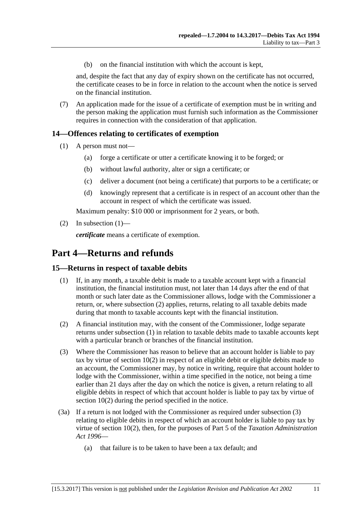(b) on the financial institution with which the account is kept,

and, despite the fact that any day of expiry shown on the certificate has not occurred, the certificate ceases to be in force in relation to the account when the notice is served on the financial institution.

(7) An application made for the issue of a certificate of exemption must be in writing and the person making the application must furnish such information as the Commissioner requires in connection with the consideration of that application.

#### <span id="page-10-3"></span><span id="page-10-0"></span>**14—Offences relating to certificates of exemption**

- (1) A person must not—
	- (a) forge a certificate or utter a certificate knowing it to be forged; or
	- (b) without lawful authority, alter or sign a certificate; or
	- (c) deliver a document (not being a certificate) that purports to be a certificate; or
	- (d) knowingly represent that a certificate is in respect of an account other than the account in respect of which the certificate was issued.

Maximum penalty: \$10 000 or imprisonment for 2 years, or both.

(2) In [subsection](#page-10-3)  $(1)$ —

*certificate* means a certificate of exemption.

### <span id="page-10-1"></span>**Part 4—Returns and refunds**

#### <span id="page-10-5"></span><span id="page-10-2"></span>**15—Returns in respect of taxable debits**

- (1) If, in any month, a taxable debit is made to a taxable account kept with a financial institution, the financial institution must, not later than 14 days after the end of that month or such later date as the Commissioner allows, lodge with the Commissioner a return, or, where [subsection](#page-10-4) (2) applies, returns, relating to all taxable debits made during that month to taxable accounts kept with the financial institution.
- <span id="page-10-4"></span>(2) A financial institution may, with the consent of the Commissioner, lodge separate returns under [subsection](#page-10-5) (1) in relation to taxable debits made to taxable accounts kept with a particular branch or branches of the financial institution.
- <span id="page-10-6"></span>(3) Where the Commissioner has reason to believe that an account holder is liable to pay tax by virtue of [section](#page-7-4) 10(2) in respect of an eligible debit or eligible debits made to an account, the Commissioner may, by notice in writing, require that account holder to lodge with the Commissioner, within a time specified in the notice, not being a time earlier than 21 days after the day on which the notice is given, a return relating to all eligible debits in respect of which that account holder is liable to pay tax by virtue of [section](#page-7-4) 10(2) during the period specified in the notice.
- (3a) If a return is not lodged with the Commissioner as required under [subsection](#page-10-6) (3) relating to eligible debits in respect of which an account holder is liable to pay tax by virtue of [section](#page-7-4) 10(2), then, for the purposes of Part 5 of the *[Taxation Administration](http://www.legislation.sa.gov.au/index.aspx?action=legref&type=act&legtitle=Taxation%20Administration%20Act%201996)  Act [1996](http://www.legislation.sa.gov.au/index.aspx?action=legref&type=act&legtitle=Taxation%20Administration%20Act%201996)*—
	- (a) that failure is to be taken to have been a tax default; and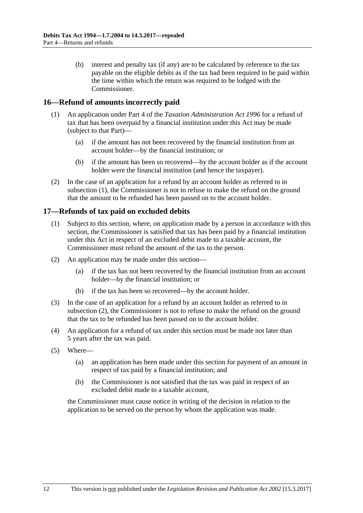(b) interest and penalty tax (if any) are to be calculated by reference to the tax payable on the eligible debits as if the tax had been required to be paid within the time within which the return was required to be lodged with the Commissioner.

#### <span id="page-11-2"></span><span id="page-11-0"></span>**16—Refund of amounts incorrectly paid**

- (1) An application under Part 4 of the *[Taxation Administration Act](http://www.legislation.sa.gov.au/index.aspx?action=legref&type=act&legtitle=Taxation%20Administration%20Act%201996) 1996* for a refund of tax that has been overpaid by a financial institution under this Act may be made (subject to that Part)—
	- (a) if the amount has not been recovered by the financial institution from an account holder—by the financial institution; or
	- (b) if the amount has been so recovered—by the account holder as if the account holder were the financial institution (and hence the taxpayer).
- (2) In the case of an application for a refund by an account holder as referred to in [subsection](#page-11-2) (1), the Commissioner is not to refuse to make the refund on the ground that the amount to be refunded has been passed on to the account holder.

#### <span id="page-11-1"></span>**17—Refunds of tax paid on excluded debits**

- (1) Subject to this section, where, on application made by a person in accordance with this section, the Commissioner is satisfied that tax has been paid by a financial institution under this Act in respect of an excluded debit made to a taxable account, the Commissioner must refund the amount of the tax to the person.
- <span id="page-11-3"></span>(2) An application may be made under this section—
	- (a) if the tax has not been recovered by the financial institution from an account holder—by the financial institution; or
	- (b) if the tax has been so recovered—by the account holder.
- (3) In the case of an application for a refund by an account holder as referred to in [subsection](#page-11-3) (2), the Commissioner is not to refuse to make the refund on the ground that the tax to be refunded has been passed on to the account holder.
- (4) An application for a refund of tax under this section must be made not later than 5 years after the tax was paid.
- (5) Where—
	- (a) an application has been made under this section for payment of an amount in respect of tax paid by a financial institution; and
	- (b) the Commissioner is not satisfied that the tax was paid in respect of an excluded debit made to a taxable account,

the Commissioner must cause notice in writing of the decision in relation to the application to be served on the person by whom the application was made.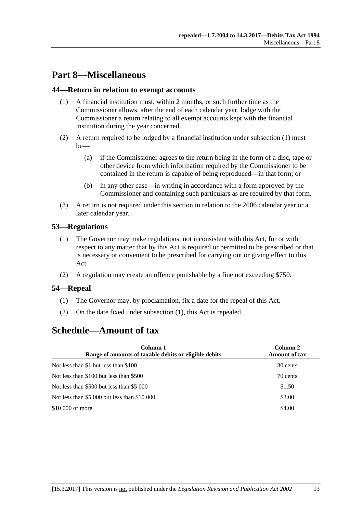# <span id="page-12-0"></span>**Part 8—Miscellaneous**

#### <span id="page-12-5"></span><span id="page-12-1"></span>**44—Return in relation to exempt accounts**

- (1) A financial institution must, within 2 months, or such further time as the Commissioner allows, after the end of each calendar year, lodge with the Commissioner a return relating to all exempt accounts kept with the financial institution during the year concerned.
- (2) A return required to be lodged by a financial institution under [subsection](#page-12-5) (1) must be—
	- (a) if the Commissioner agrees to the return being in the form of a disc, tape or other device from which information required by the Commissioner to be contained in the return is capable of being reproduced—in that form; or
	- (b) in any other case—in writing in accordance with a form approved by the Commissioner and containing such particulars as are required by that form.
- (3) A return is not required under this section in relation to the 2006 calendar year or a later calendar year.

#### <span id="page-12-2"></span>**53—Regulations**

- (1) The Governor may make regulations, not inconsistent with this Act, for or with respect to any matter that by this Act is required or permitted to be prescribed or that is necessary or convenient to be prescribed for carrying out or giving effect to this Act.
- (2) A regulation may create an offence punishable by a fine not exceeding \$750.

#### <span id="page-12-6"></span><span id="page-12-3"></span>**54—Repeal**

- (1) The Governor may, by proclamation, fix a date for the repeal of this Act.
- (2) On the date fixed under [subsection](#page-12-6) (1), this Act is repealed.

# <span id="page-12-4"></span>**Schedule—Amount of tax**

| Column 1<br>Range of amounts of taxable debits or eligible debits | Column 2<br><b>Amount of tax</b> |
|-------------------------------------------------------------------|----------------------------------|
| Not less than \$1 but less than \$100                             | 30 cents                         |
| Not less than \$100 but less than \$500                           | 70 cents                         |
| Not less than \$500 but less than \$5 000                         | \$1.50                           |
| Not less than \$5 000 but less than \$10 000                      | \$3.00                           |
| \$10 000 or more                                                  | \$4.00                           |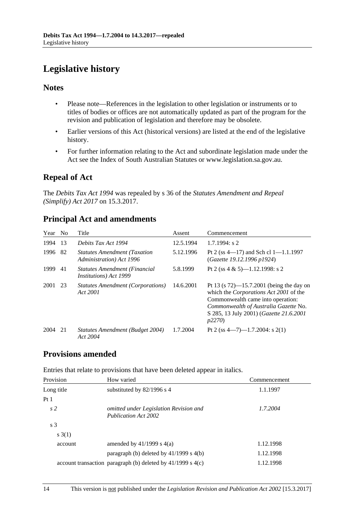# <span id="page-13-0"></span>**Legislative history**

#### **Notes**

- Please note—References in the legislation to other legislation or instruments or to titles of bodies or offices are not automatically updated as part of the program for the revision and publication of legislation and therefore may be obsolete.
- Earlier versions of this Act (historical versions) are listed at the end of the legislative history.
- For further information relating to the Act and subordinate legislation made under the Act see the Index of South Australian Statutes or www.legislation.sa.gov.au.

### **Repeal of Act**

The *Debits Tax Act 1994* was repealed by s 36 of the *Statutes Amendment and Repeal (Simplify) Act 2017* on 15.3.2017.

### **Principal Act and amendments**

| Year | N <sub>0</sub> | Title                                                           | Assent    | Commencement                                                                                                                                                                                                                            |
|------|----------------|-----------------------------------------------------------------|-----------|-----------------------------------------------------------------------------------------------------------------------------------------------------------------------------------------------------------------------------------------|
| 1994 | 13             | Debits Tax Act 1994                                             | 12.5.1994 | $1.7.1994$ : s 2                                                                                                                                                                                                                        |
| 1996 | -82            | <b>Statutes Amendment (Taxation</b><br>Administration) Act 1996 | 5.12.1996 | Pt 2 (ss $4-17$ ) and Sch cl $1-1.1.1997$<br>(Gazette 19.12.1996 p1924)                                                                                                                                                                 |
| 1999 | 41             | Statutes Amendment (Financial<br><i>Institutions</i> ) Act 1999 | 5.8.1999  | Pt 2 (ss 4 & 5)-1.12.1998: s 2                                                                                                                                                                                                          |
| 2001 | 23             | <b>Statutes Amendment (Corporations)</b><br>Act 2001            | 14.6.2001 | Pt 13 (s $72$ )—15.7.2001 (being the day on<br>which the <i>Corporations Act 2001</i> of the<br>Commonwealth came into operation:<br>Commonwealth of Australia Gazette No.<br>S 285, 13 July 2001) (Gazette 21.6.2001<br><i>p</i> 2270) |
| 2004 | 21             | Statutes Amendment (Budget 2004)<br>Act 2004                    | 1.7.2004  | Pt 2 (ss $4-7$ )-1.7.2004: s 2(1)                                                                                                                                                                                                       |

### **Provisions amended**

Entries that relate to provisions that have been deleted appear in italics.

| Provision       | How varied                                                            | Commencement |
|-----------------|-----------------------------------------------------------------------|--------------|
| Long title      | substituted by $82/1996$ s 4                                          | 1.1.1997     |
| Pt <sub>1</sub> |                                                                       |              |
| s <sub>2</sub>  | omitted under Legislation Revision and<br><b>Publication Act 2002</b> | 1.7.2004     |
| s <sub>3</sub>  |                                                                       |              |
| s(3(1))         |                                                                       |              |
| account         | amended by $41/1999$ s $4(a)$                                         | 1.12.1998    |
|                 | paragraph (b) deleted by $41/1999$ s $4(b)$                           | 1.12.1998    |
|                 | account transaction paragraph (b) deleted by $41/1999$ s $4(c)$       | 1.12.1998    |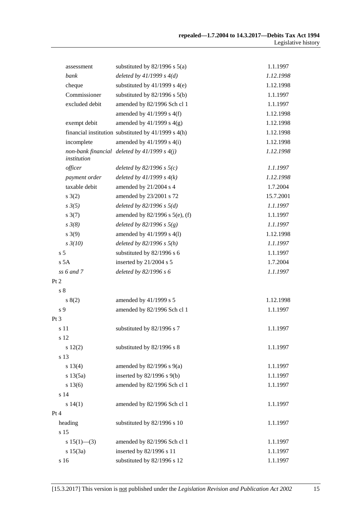| assessment         | substituted by $82/1996$ s $5(a)$                       | 1.1.1997  |
|--------------------|---------------------------------------------------------|-----------|
| bank               | deleted by $41/1999 s 4(d)$                             | 1.12.1998 |
| cheque             | substituted by $41/1999$ s $4(e)$                       | 1.12.1998 |
| Commissioner       | substituted by $82/1996$ s $5(b)$                       | 1.1.1997  |
| excluded debit     | amended by 82/1996 Sch cl 1                             | 1.1.1997  |
|                    | amended by $41/1999$ s $4(f)$                           | 1.12.1998 |
| exempt debit       | amended by $41/1999$ s $4(g)$                           | 1.12.1998 |
|                    | financial institution substituted by $41/1999$ s $4(h)$ | 1.12.1998 |
| incomplete         | amended by $41/1999$ s $4(i)$                           | 1.12.1998 |
| institution        | non-bank financial deleted by $41/1999 s 4(j)$          | 1.12.1998 |
| officer            | deleted by $82/1996$ s $5(c)$                           | 1.1.1997  |
| payment order      | deleted by $41/1999 s 4(k)$                             | 1.12.1998 |
| taxable debit      | amended by 21/2004 s 4                                  | 1.7.2004  |
| s(2)               | amended by 23/2001 s 72                                 | 15.7.2001 |
| $s \frac{3}{5}$    | deleted by $82/1996 s 5(d)$                             | 1.1.1997  |
| $s \frac{3(7)}{2}$ | amended by 82/1996 s 5(e), (f)                          | 1.1.1997  |
| $s \frac{3(8)}{8}$ | deleted by 82/1996 s $5(g)$                             | 1.1.1997  |
| $s \; 3(9)$        | amended by 41/1999 s 4(1)                               | 1.12.1998 |
| $s \frac{3}{10}$   | deleted by $82/1996 s 5(h)$                             | 1.1.1997  |
| s <sub>5</sub>     | substituted by 82/1996 s 6                              | 1.1.1997  |
| s 5A               | inserted by 21/2004 s 5                                 | 1.7.2004  |
| $ss 6$ and $7$     | deleted by $82/1996 s 6$                                | 1.1.1997  |
| Pt 2               |                                                         |           |
| s <sub>8</sub>     |                                                         |           |
| s(2)               | amended by 41/1999 s 5                                  | 1.12.1998 |
| s 9                | amended by 82/1996 Sch cl 1                             | 1.1.1997  |
| Pt 3               |                                                         |           |
| s 11               | substituted by 82/1996 s 7                              | 1.1.1997  |
| s 12               |                                                         |           |
| 12(2)              | substituted by 82/1996 s 8                              | 1.1.1997  |
| s 13               |                                                         |           |
| s 13(4)            | amended by $82/1996$ s $9(a)$                           | 1.1.1997  |
| s 13(5a)           | inserted by $82/1996$ s $9(b)$                          | 1.1.1997  |
| s 13(6)            | amended by 82/1996 Sch cl 1                             | 1.1.1997  |
| s 14               |                                                         |           |
| s 14(1)            | amended by 82/1996 Sch cl 1                             | 1.1.1997  |
| Pt 4               |                                                         |           |
| heading            | substituted by 82/1996 s 10                             | 1.1.1997  |
| s 15               |                                                         |           |
| s $15(1)$ —(3)     | amended by 82/1996 Sch cl 1                             | 1.1.1997  |
| s 15(3a)           | inserted by 82/1996 s 11                                | 1.1.1997  |
| s 16               | substituted by 82/1996 s 12                             | 1.1.1997  |